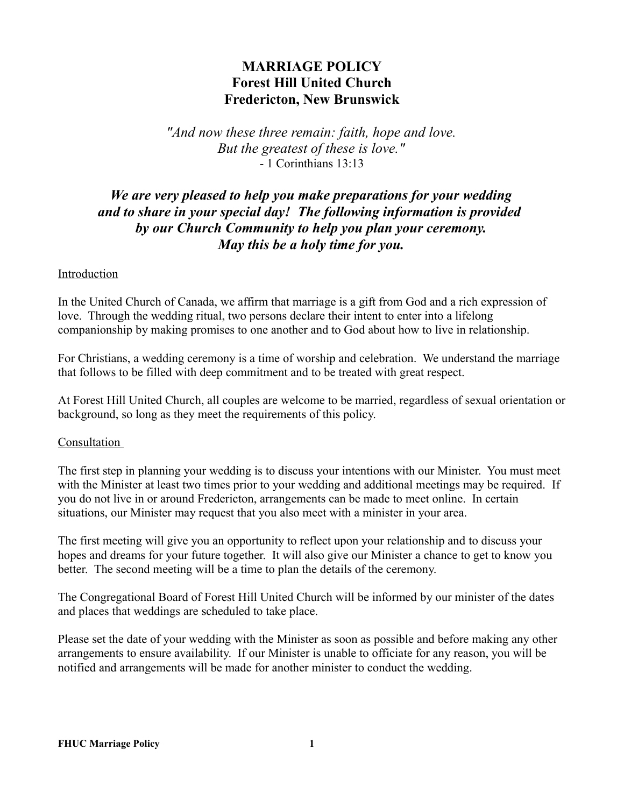# **MARRIAGE POLICY Forest Hill United Church Fredericton, New Brunswick**

*"And now these three remain: faith, hope and love. But the greatest of these is love."* - 1 Corinthians 13:13

# *We are very pleased to help you make preparations for your wedding and to share in your special day! The following information is provided by our Church Community to help you plan your ceremony. May this be a holy time for you.*

## Introduction

In the United Church of Canada, we affirm that marriage is a gift from God and a rich expression of love. Through the wedding ritual, two persons declare their intent to enter into a lifelong companionship by making promises to one another and to God about how to live in relationship.

For Christians, a wedding ceremony is a time of worship and celebration. We understand the marriage that follows to be filled with deep commitment and to be treated with great respect.

At Forest Hill United Church, all couples are welcome to be married, regardless of sexual orientation or background, so long as they meet the requirements of this policy.

## Consultation

The first step in planning your wedding is to discuss your intentions with our Minister. You must meet with the Minister at least two times prior to your wedding and additional meetings may be required. If you do not live in or around Fredericton, arrangements can be made to meet online. In certain situations, our Minister may request that you also meet with a minister in your area.

The first meeting will give you an opportunity to reflect upon your relationship and to discuss your hopes and dreams for your future together. It will also give our Minister a chance to get to know you better. The second meeting will be a time to plan the details of the ceremony.

The Congregational Board of Forest Hill United Church will be informed by our minister of the dates and places that weddings are scheduled to take place.

Please set the date of your wedding with the Minister as soon as possible and before making any other arrangements to ensure availability. If our Minister is unable to officiate for any reason, you will be notified and arrangements will be made for another minister to conduct the wedding.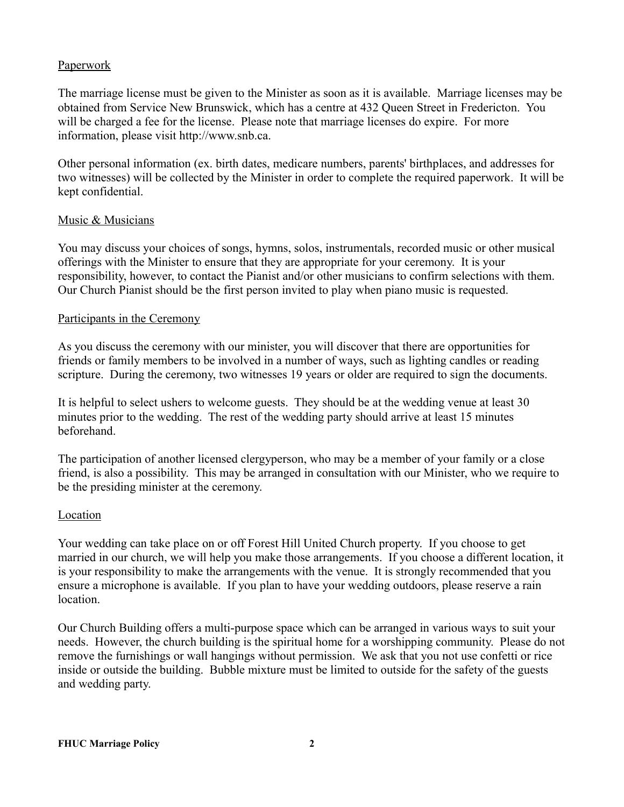## **Paperwork**

The marriage license must be given to the Minister as soon as it is available. Marriage licenses may be obtained from Service New Brunswick, which has a centre at 432 Queen Street in Fredericton. You will be charged a fee for the license. Please note that marriage licenses do expire. For more information, please visit http://www.snb.ca.

Other personal information (ex. birth dates, medicare numbers, parents' birthplaces, and addresses for two witnesses) will be collected by the Minister in order to complete the required paperwork. It will be kept confidential.

## Music & Musicians

You may discuss your choices of songs, hymns, solos, instrumentals, recorded music or other musical offerings with the Minister to ensure that they are appropriate for your ceremony. It is your responsibility, however, to contact the Pianist and/or other musicians to confirm selections with them. Our Church Pianist should be the first person invited to play when piano music is requested.

#### Participants in the Ceremony

As you discuss the ceremony with our minister, you will discover that there are opportunities for friends or family members to be involved in a number of ways, such as lighting candles or reading scripture. During the ceremony, two witnesses 19 years or older are required to sign the documents.

It is helpful to select ushers to welcome guests. They should be at the wedding venue at least 30 minutes prior to the wedding. The rest of the wedding party should arrive at least 15 minutes beforehand.

The participation of another licensed clergyperson, who may be a member of your family or a close friend, is also a possibility. This may be arranged in consultation with our Minister, who we require to be the presiding minister at the ceremony.

## Location

Your wedding can take place on or off Forest Hill United Church property. If you choose to get married in our church, we will help you make those arrangements. If you choose a different location, it is your responsibility to make the arrangements with the venue. It is strongly recommended that you ensure a microphone is available. If you plan to have your wedding outdoors, please reserve a rain location.

Our Church Building offers a multi-purpose space which can be arranged in various ways to suit your needs. However, the church building is the spiritual home for a worshipping community. Please do not remove the furnishings or wall hangings without permission. We ask that you not use confetti or rice inside or outside the building. Bubble mixture must be limited to outside for the safety of the guests and wedding party.